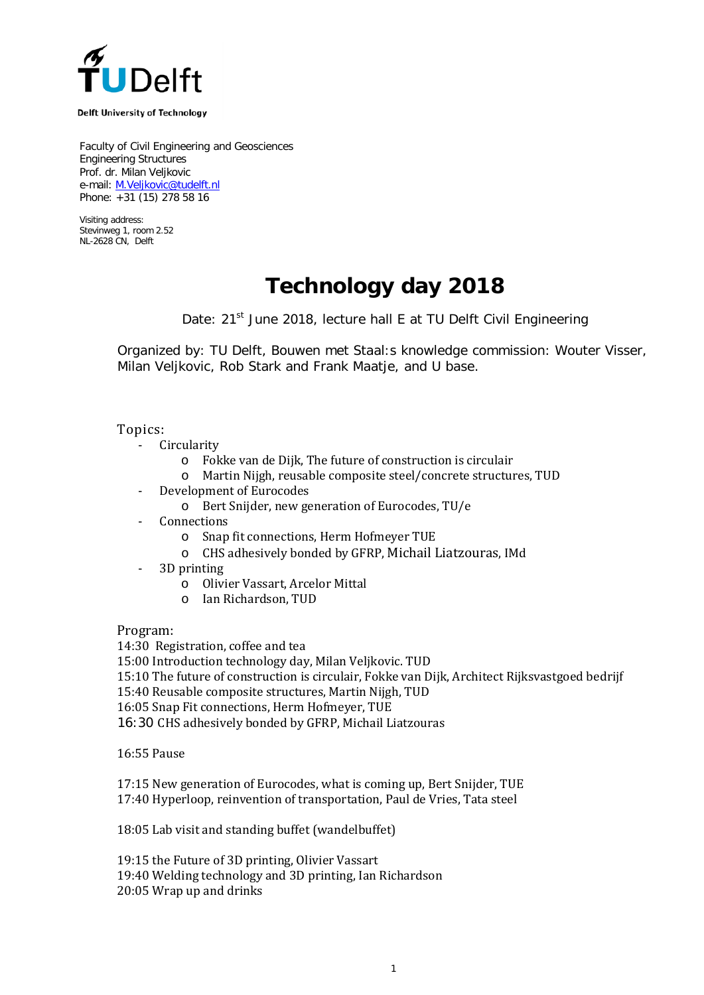

**Delft University of Technology** 

Faculty of Civil Engineering and Geosciences Engineering Structures Prof. dr. Milan Veljkovic e-mail: [M.Veljkovic@tudelft.nl](mailto:M.Veljkovic@tudelft.nl) Phone: +31 (15) 278 58 16

Visiting address: Stevinweg 1, room 2.52 NL-2628 CN, Delft

## **Technology day 2018**

Date: 21<sup>st</sup> June 2018, lecture hall E at TU Delft Civil Engineering

Organized by: TU Delft, Bouwen met Staal:s knowledge commission: Wouter Visser, Milan Veljkovic, Rob Stark and Frank Maatje, and U base.

Topics:

- **Circularity** 
	- o Fokke van de Dijk, The future of construction is circulair
	- o Martin Nijgh, reusable composite steel/concrete structures, TUD
- Development of Eurocodes
	- o Bert Snijder, new generation of Eurocodes, TU/e
- Connections<br>  $\circ$  Snap
	- Snap fit connections, Herm Hofmeyer TUE
	- o CHS adhesively bonded by GFRP, Michail Liatzouras, IMd
- 3D printing
	- o Olivier Vassart, Arcelor Mittal
	- o Ian Richardson, TUD

Program:

14:30 Registration, coffee and tea

15:00 Introduction technology day, Milan Veljkovic. TUD

15:10 The future of construction is circulair, Fokke van Dijk, Architect Rijksvastgoed bedrijf

15:40 Reusable composite structures, Martin Nijgh, TUD

16:05 Snap Fit connections, Herm Hofmeyer, TUE

16:30 CHS adhesively bonded by GFRP, Michail Liatzouras

16:55 Pause

17:15 New generation of Eurocodes, what is coming up, Bert Snijder, TUE 17:40 Hyperloop, reinvention of transportation, Paul de Vries, Tata steel

18:05 Lab visit and standing buffet (wandelbuffet)

19:15 the Future of 3D printing, Olivier Vassart

19:40 Welding technology and 3D printing, Ian Richardson

20:05 Wrap up and drinks